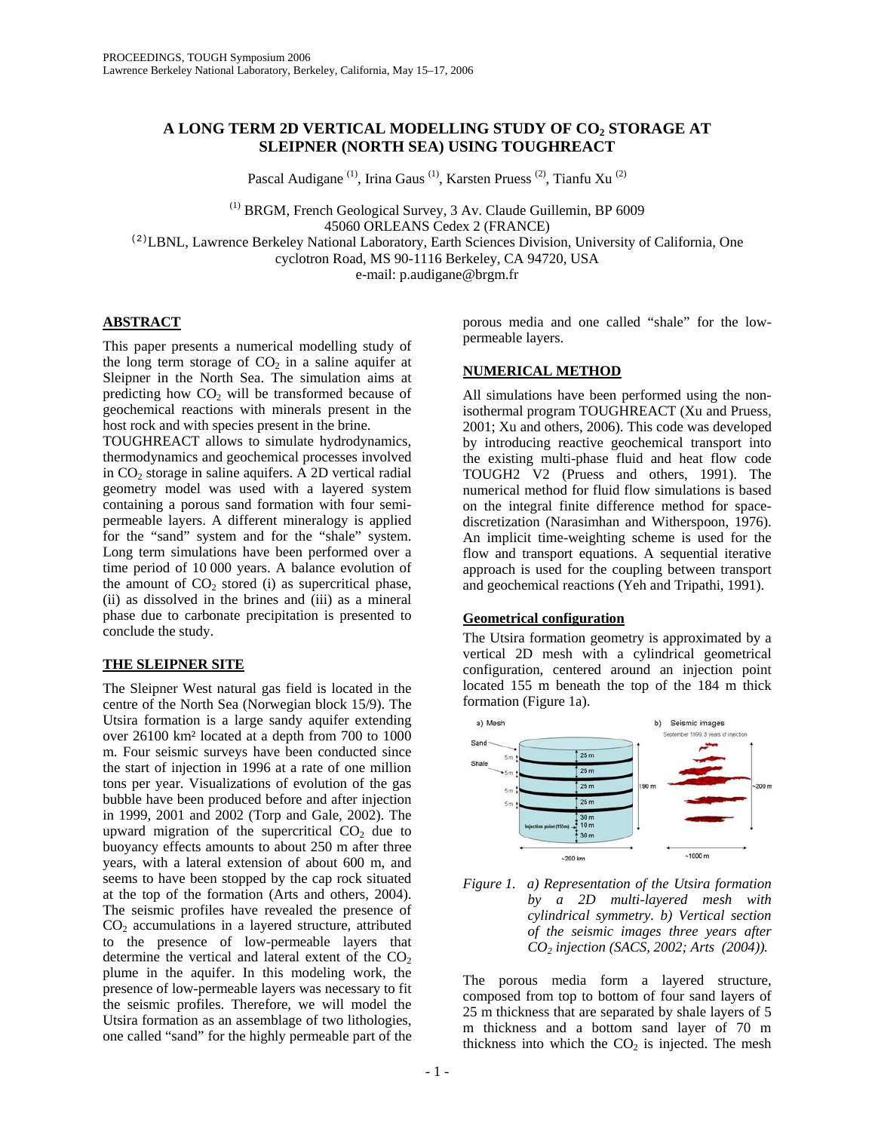# **A LONG TERM 2D VERTICAL MODELLING STUDY OF CO2 STORAGE AT SLEIPNER (NORTH SEA) USING TOUGHREACT**

Pascal Audigane<sup>(1)</sup>, Irina Gaus<sup>(1)</sup>, Karsten Pruess<sup>(2)</sup>, Tianfu Xu<sup>(2)</sup>

<sup>(1)</sup> BRGM, French Geological Survey, 3 Av. Claude Guillemin, BP 6009 45060 ORLEANS Cedex 2 (FRANCE)

(2)LBNL, Lawrence Berkeley National Laboratory, Earth Sciences Division, University of California, One cyclotron Road, MS 90-1116 Berkeley, CA 94720, USA

e-mail: p.audigane@brgm.fr

# **ABSTRACT**

This paper presents a numerical modelling study of the long term storage of  $CO<sub>2</sub>$  in a saline aquifer at Sleipner in the North Sea. The simulation aims at predicting how  $CO<sub>2</sub>$  will be transformed because of geochemical reactions with minerals present in the host rock and with species present in the brine.

TOUGHREACT allows to simulate hydrodynamics, thermodynamics and geochemical processes involved in  $CO<sub>2</sub>$  storage in saline aquifers. A 2D vertical radial geometry model was used with a layered system containing a porous sand formation with four semipermeable layers. A different mineralogy is applied for the "sand" system and for the "shale" system. Long term simulations have been performed over a time period of 10 000 years. A balance evolution of the amount of  $CO<sub>2</sub>$  stored (i) as supercritical phase, (ii) as dissolved in the brines and (iii) as a mineral phase due to carbonate precipitation is presented to conclude the study.

# **THE SLEIPNER SITE**

The Sleipner West natural gas field is located in the centre of the North Sea (Norwegian block 15/9). The Utsira formation is a large sandy aquifer extending over 26100 km² located at a depth from 700 to 1000 m. Four seismic surveys have been conducted since the start of injection in 1996 at a rate of one million tons per year. Visualizations of evolution of the gas bubble have been produced before and after injection in 1999, 2001 and 2002 (Torp and Gale, 2002). The upward migration of the supercritical  $CO<sub>2</sub>$  due to buoyancy effects amounts to about 250 m after three years, with a lateral extension of about 600 m, and seems to have been stopped by the cap rock situated at the top of the formation (Arts and others, 2004). The seismic profiles have revealed the presence of  $CO<sub>2</sub>$  accumulations in a layered structure, attributed to the presence of low-permeable layers that determine the vertical and lateral extent of the  $CO<sub>2</sub>$ plume in the aquifer. In this modeling work, the presence of low-permeable layers was necessary to fit the seismic profiles. Therefore, we will model the Utsira formation as an assemblage of two lithologies, one called "sand" for the highly permeable part of the

porous media and one called "shale" for the lowpermeable layers.

## **NUMERICAL METHOD**

All simulations have been performed using the nonisothermal program TOUGHREACT (Xu and Pruess, 2001; Xu and others, 2006). This code was developed by introducing reactive geochemical transport into the existing multi-phase fluid and heat flow code TOUGH2 V2 (Pruess and others, 1991). The numerical method for fluid flow simulations is based on the integral finite difference method for spacediscretization (Narasimhan and Witherspoon, 1976). An implicit time-weighting scheme is used for the flow and transport equations. A sequential iterative approach is used for the coupling between transport and geochemical reactions (Yeh and Tripathi, 1991).

## **Geometrical configuration**

The Utsira formation geometry is approximated by a vertical 2D mesh with a cylindrical geometrical configuration, centered around an injection point located 155 m beneath the top of the 184 m thick formation (Figure 1a).





The porous media form a layered structure, composed from top to bottom of four sand layers of 25 m thickness that are separated by shale layers of 5 m thickness and a bottom sand layer of 70 m thickness into which the  $CO<sub>2</sub>$  is injected. The mesh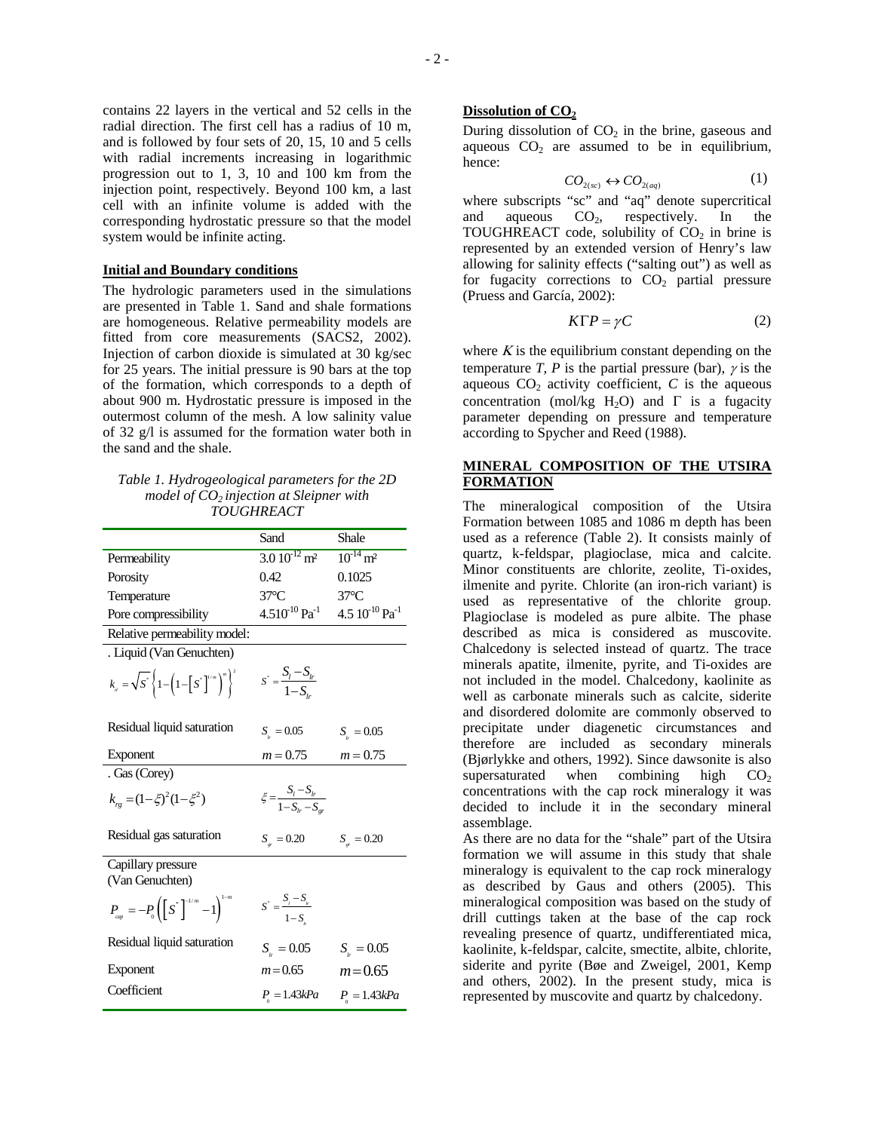contains 22 layers in the vertical and 52 cells in the radial direction. The first cell has a radius of 10 m, and is followed by four sets of 20, 15, 10 and 5 cells with radial increments increasing in logarithmic progression out to 1, 3, 10 and 100 km from the injection point, respectively. Beyond 100 km, a last cell with an infinite volume is added with the corresponding hydrostatic pressure so that the model system would be infinite acting.

### **Initial and Boundary conditions**

The hydrologic parameters used in the simulations are presented in [Table 1.](#page-1-0) Sand and shale formations are homogeneous. Relative permeability models are fitted from core measurements (SACS2, 2002). Injection of carbon dioxide is simulated at 30 kg/sec for 25 years. The initial pressure is 90 bars at the top of the formation, which corresponds to a depth of about 900 m. Hydrostatic pressure is imposed in the outermost column of the mesh. A low salinity value of 32 g/l is assumed for the formation water both in the sand and the shale.

### <span id="page-1-0"></span>*Table 1. Hydrogeological parameters for the 2D model of CO2 injection at Sleipner with TOUGHREACT*

|                                                                                        | Sand                                             | Shale                           |
|----------------------------------------------------------------------------------------|--------------------------------------------------|---------------------------------|
| Permeability                                                                           | $3.0 10^{-12}$ m <sup>2</sup>                    | $10^{-14}$ m <sup>2</sup>       |
| Porosity                                                                               | 0.42                                             | 0.1025                          |
| Temperature                                                                            | $37^{\circ}$ C                                   | $37^{\circ}$ C                  |
| Pore compressibility                                                                   | $4.510^{10}$ Pa <sup>-1</sup>                    | $4.5\ 10^{-10} \text{ Pa}^{-1}$ |
| Relative permeability model:                                                           |                                                  |                                 |
| . Liquid (Van Genuchten)                                                               |                                                  |                                 |
| $k_{n} = \sqrt{S}^{*}\left\{1-\left(1-\left[S^{*}\right]^{1/m}\right)^{m}\right\}^{2}$ | $S^* = \frac{S_l - S_{lr}}{1 - S_{lr}}$          |                                 |
| Residual liquid saturation                                                             | $S_{\mu} = 0.05$                                 | $S_{.} = 0.05$                  |
| Exponent                                                                               | $m = 0.75$                                       | $m = 0.75$                      |
| . Gas (Corey)                                                                          |                                                  |                                 |
| $k_{r} = (1 - \xi)^2 (1 - \xi^2)$                                                      | $\xi = \frac{S_l - S_{lr}}{1 - S_{lr} - S_{cr}}$ |                                 |
| Residual gas saturation                                                                | $S_{\nu} = 0.20$                                 | $S_{_{\rm cr}} = 0.20$          |
| Capillary pressure<br>(Van Genuchten)                                                  |                                                  |                                 |
| $P_{_{cap}} = -P_{_{0}} \left( \left[ S^* \right]^{-1/m} - 1 \right)^{1-m}$            | $S^* = \frac{S_i - S_{i}^*}{1 - S_{i}^*}$        |                                 |
| Residual liquid saturation                                                             | $S_{\mu} = 0.05$                                 | $S_{\mu} = 0.05$                |
| Exponent                                                                               | $m = 0.65$                                       | $m = 0.65$                      |
| Coefficient                                                                            | $P_{0} = 1.43kPa$                                | $P_{0} = 1.43kPa$               |

### **Dissolution of CO<sub>2</sub>**

During dissolution of  $CO<sub>2</sub>$  in the brine, gaseous and aqueous  $CO<sub>2</sub>$  are assumed to be in equilibrium, hence:

 $CO_{2(se)} \leftrightarrow CO_{2(aq)}$  (1)

where subscripts "sc" and "aq" denote supercritical and aqueous  $CO<sub>2</sub>$ , respectively. In the TOUGHREACT code, solubility of  $CO<sub>2</sub>$  in brine is represented by an extended version of Henry's law allowing for salinity effects ("salting out") as well as for fugacity corrections to  $CO<sub>2</sub>$  partial pressure (Pruess and García, 2002):

$$
K\Gamma P = \gamma C \tag{2}
$$

where  $K$  is the equilibrium constant depending on the temperature *T*, *P* is the partial pressure (bar),  $\gamma$  is the aqueous  $CO<sub>2</sub>$  activity coefficient,  $C$  is the aqueous concentration (mol/kg H<sub>2</sub>O) and  $\Gamma$  is a fugacity parameter depending on pressure and temperature according to Spycher and Reed (1988).

# **MINERAL COMPOSITION OF THE UTSIRA FORMATION**

The mineralogical composition of the Utsira Formation between 1085 and 1086 m depth has been used as a reference ([Table 2\)](#page-2-0). It consists mainly of quartz, k-feldspar, plagioclase, mica and calcite. Minor constituents are chlorite, zeolite, Ti-oxides, ilmenite and pyrite. Chlorite (an iron-rich variant) is used as representative of the chlorite group. Plagioclase is modeled as pure albite. The phase described as mica is considered as muscovite. Chalcedony is selected instead of quartz. The trace minerals apatite, ilmenite, pyrite, and Ti-oxides are not included in the model. Chalcedony, kaolinite as well as carbonate minerals such as calcite, siderite and disordered dolomite are commonly observed to precipitate under diagenetic circumstances and therefore are included as secondary minerals (Bjørlykke and others, 1992). Since dawsonite is also supersaturated when combining high  $CO<sub>2</sub>$ concentrations with the cap rock mineralogy it was decided to include it in the secondary mineral assemblage.

As there are no data for the "shale" part of the Utsira formation we will assume in this study that shale mineralogy is equivalent to the cap rock mineralogy as described by Gaus and others (2005). This mineralogical composition was based on the study of drill cuttings taken at the base of the cap rock revealing presence of quartz, undifferentiated mica, kaolinite, k-feldspar, calcite, smectite, albite, chlorite, siderite and pyrite (Bøe and Zweigel, 2001, Kemp and others, 2002). In the present study, mica is represented by muscovite and quartz by chalcedony.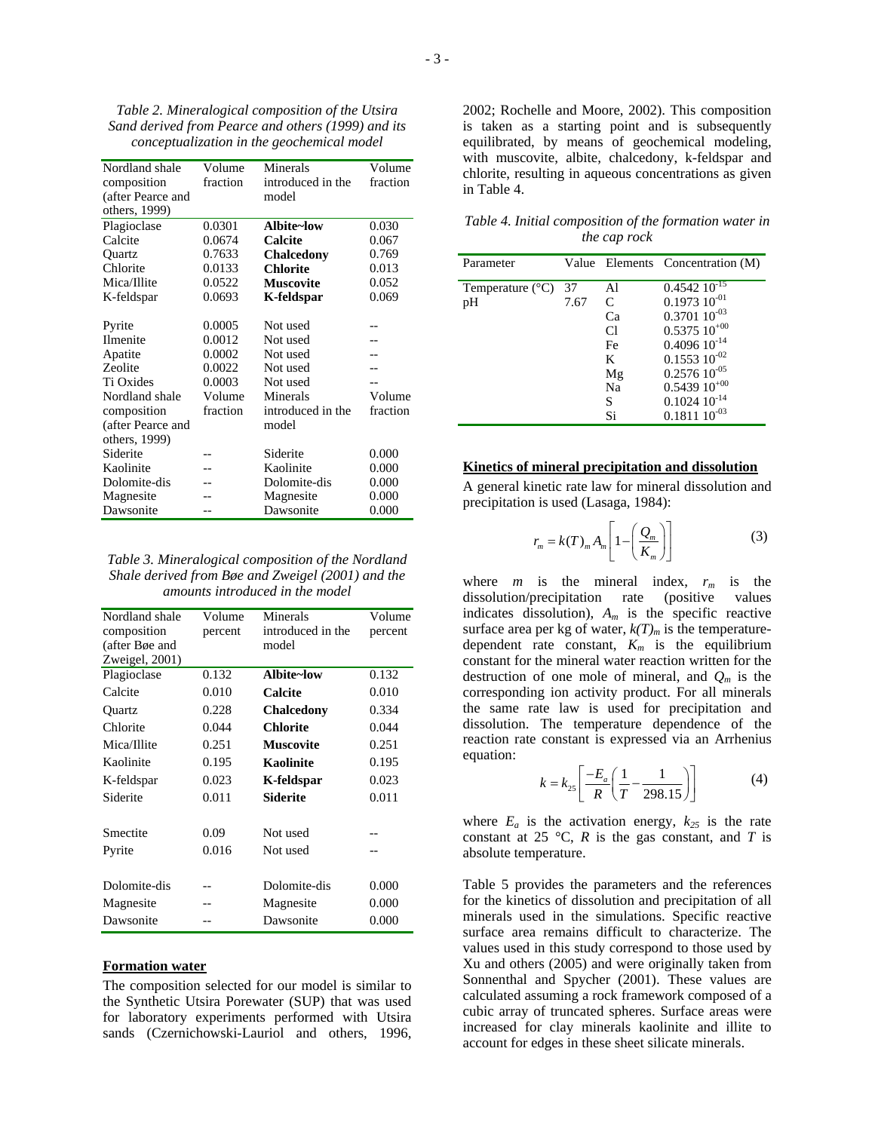<span id="page-2-0"></span>*Table 2. Mineralogical composition of the Utsira Sand derived from Pearce and others (1999) and its conceptualization in the geochemical model* 

| Nordland shale    | Volume   | Minerals          | Volume   |
|-------------------|----------|-------------------|----------|
| composition       | fraction | introduced in the | fraction |
| (after Pearce and |          | model             |          |
| others, 1999)     |          |                   |          |
| Plagioclase       | 0.0301   | Albite~low        | 0.030    |
| Calcite           | 0.0674   | Calcite           | 0.067    |
| Quartz            | 0.7633   | <b>Chalcedony</b> | 0.769    |
| Chlorite          | 0.0133   | <b>Chlorite</b>   | 0.013    |
| Mica/Illite       | 0.0522   | <b>Muscovite</b>  | 0.052    |
| K-feldspar        | 0.0693   | K-feldspar        | 0.069    |
|                   |          |                   |          |
| Pyrite            | 0.0005   | Not used          |          |
| <b>Ilmenite</b>   | 0.0012   | Not used          |          |
| Apatite           | 0.0002   | Not used          |          |
| Zeolite           | 0.0022   | Not used          |          |
| Ti Oxides         | 0.0003   | Not used          |          |
| Nordland shale    | Volume   | Minerals          | Volume   |
| composition       | fraction | introduced in the | fraction |
| (after Pearce and |          | model             |          |
| others, 1999)     |          |                   |          |
| Siderite          |          | Siderite          | 0.000    |
| Kaolinite         |          | Kaolinite         | 0.000    |
| Dolomite-dis      |          | Dolomite-dis      | 0.000    |
| Magnesite         |          | Magnesite         | 0.000    |
| Dawsonite         |          | Dawsonite         | 0.000    |

*Table 3. Mineralogical composition of the Nordland Shale derived from Bøe and Zweigel (2001) and the amounts introduced in the model*

| Nordland shale<br>composition<br>(after Bøe and<br>Zweigel, 2001) | Volume<br>percent | Minerals<br>introduced in the<br>model | Volume<br>percent |
|-------------------------------------------------------------------|-------------------|----------------------------------------|-------------------|
| Plagioclase                                                       | 0.132             | Albite~low                             | 0.132             |
| Calcite                                                           | 0.010             | Calcite                                | 0.010             |
| Ouartz                                                            | 0.228             | <b>Chalcedony</b>                      | 0.334             |
| Chlorite                                                          | 0.044             | <b>Chlorite</b>                        | 0.044             |
| Mica/Illite                                                       | 0.251             | <b>Muscovite</b>                       | 0.251             |
| Kaolinite                                                         | 0.195             | <b>Kaolinite</b>                       | 0.195             |
| K-feldspar                                                        | 0.023             | K-feldspar                             | 0.023             |
| Siderite                                                          | 0.011             | Siderite                               | 0.011             |
| Smectite                                                          | 0.09              | Not used                               |                   |
| Pyrite                                                            | 0.016             | Not used                               |                   |
| Dolomite-dis                                                      |                   | Dolomite-dis                           | 0.000             |
| Magnesite                                                         |                   | Magnesite                              | 0.000             |
| Dawsonite                                                         |                   | Dawsonite                              | 0.000             |

## **Formation water**

The composition selected for our model is similar to the Synthetic Utsira Porewater (SUP) that was used for laboratory experiments performed with Utsira sands (Czernichowski-Lauriol and others, 1996,

2002; Rochelle and Moore, 2002). This composition is taken as a starting point and is subsequently equilibrated, by means of geochemical modeling, with muscovite, albite, chalcedony, k-feldspar and chlorite, resulting in aqueous concentrations as given in [Table 4.](#page-2-1)

<span id="page-2-1"></span>*Table 4. Initial composition of the formation water in the cap rock* 

| Parameter                 |      |                | Value Elements Concentration (M) |
|---------------------------|------|----------------|----------------------------------|
| Temperature $(^{\circ}C)$ | -37  | Al             | $0.454210^{-15}$                 |
| pH                        | 7.67 | C              | $0.1973\ 10^{-01}$               |
|                           |      | Ca             | $0.3701~10^{-03}$                |
|                           |      | C <sub>1</sub> | $0.5375\ 10^{+00}$               |
|                           |      | Fe             | $0.4096~10^{-14}$                |
|                           |      | K              | $0.1553\ 10^{-02}$               |
|                           |      | Mg             | $0.257610^{-05}$                 |
|                           |      | Na             | $0.5439\ 10^{+00}$               |
|                           |      | S              | $0.1024~10^{-14}$                |
|                           |      | Si             | $0.1811~10^{-03}$                |

#### **Kinetics of mineral precipitation and dissolution**

A general kinetic rate law for mineral dissolution and precipitation is used (Lasaga, 1984):

$$
r_m = k(T)_m A_m \left[ 1 - \left( \frac{Q_m}{K_m} \right) \right]
$$
 (3)

where  $m$  is the mineral index,  $r_m$  is the dissolution/precipitation rate (positive values indicates dissolution),  $A_m$  is the specific reactive surface area per kg of water,  $k(T)_m$  is the temperaturedependent rate constant,  $K_m$  is the equilibrium constant for the mineral water reaction written for the destruction of one mole of mineral, and *Qm* is the corresponding ion activity product. For all minerals the same rate law is used for precipitation and dissolution. The temperature dependence of the reaction rate constant is expressed via an Arrhenius equation:

$$
k = k_{25} \left[ \frac{-E_a}{R} \left( \frac{1}{T} - \frac{1}{298.15} \right) \right]
$$
 (4)

where  $E_a$  is the activation energy,  $k_{25}$  is the rate constant at 25  $\degree$ C, *R* is the gas constant, and *T* is absolute temperature.

Table 5 provides the parameters and the references for the kinetics of dissolution and precipitation of all minerals used in the simulations. Specific reactive surface area remains difficult to characterize. The values used in this study correspond to those used by Xu and others (2005) and were originally taken from Sonnenthal and Spycher (2001). These values are calculated assuming a rock framework composed of a cubic array of truncated spheres. Surface areas were increased for clay minerals kaolinite and illite to account for edges in these sheet silicate minerals.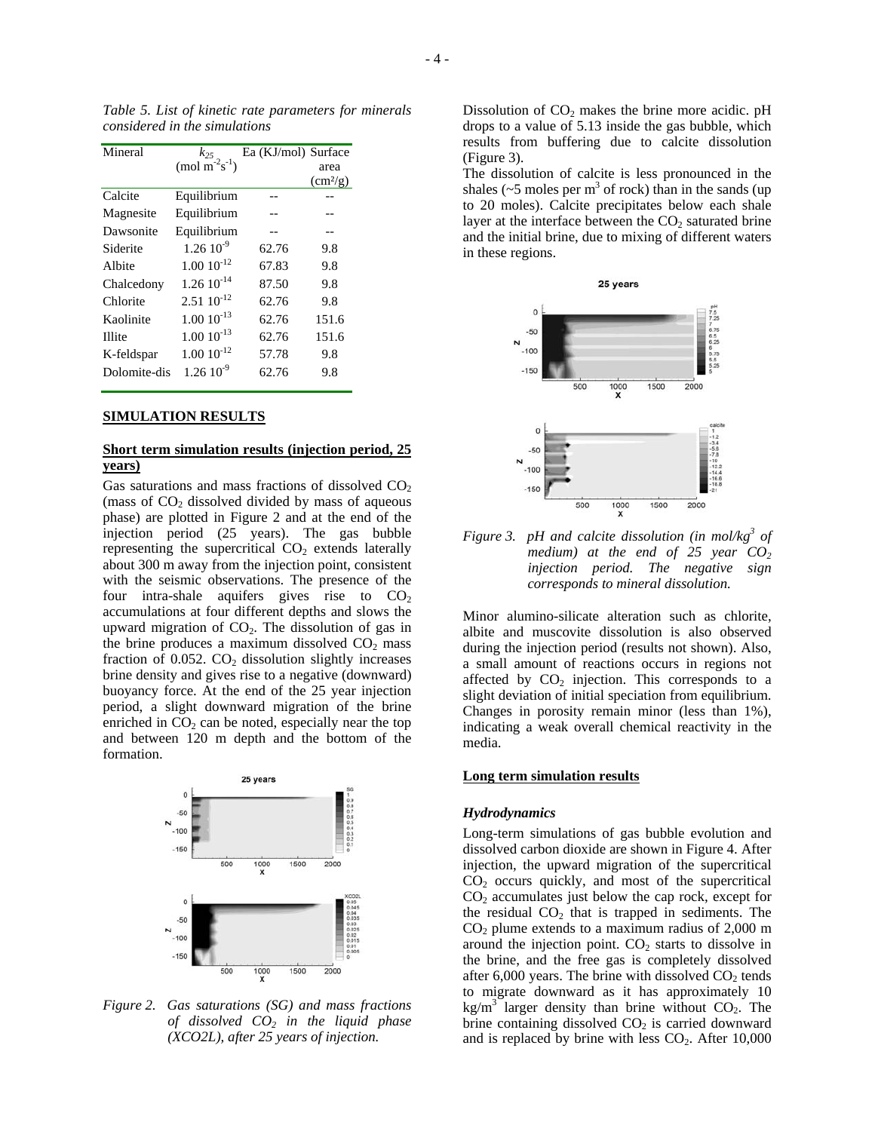*Table 5. List of kinetic rate parameters for minerals considered in the simulations*

| Mineral       | $k_{25}$               | Ea (KJ/mol) Surface |                          |
|---------------|------------------------|---------------------|--------------------------|
|               | (mol $m^{-2}s^{-1}$ )  |                     | area                     |
|               |                        |                     | $\text{cm}^2/\text{g}$ ) |
| Calcite       | Equilibrium            |                     |                          |
| Magnesite     | Equilibrium            |                     |                          |
| Dawsonite     | Equilibrium            | --                  | --                       |
| Siderite      | $1.2610^{-9}$          | 62.76               | 9.8                      |
| Albite        | $1.00 \times 10^{-12}$ | 67.83               | 9.8                      |
| Chalcedony    | $1.26 \times 10^{-14}$ | 87.50               | 9.8                      |
| Chlorite      | $2.51 \times 10^{-12}$ | 62.76               | 9.8                      |
| Kaolinite     | $1.00\ 10^{-13}$       | 62.76               | 151.6                    |
| <b>Illite</b> | $1.00\ 10^{-13}$       | 62.76               | 151.6                    |
| K-feldspar    | $1.00 10^{-12}$        | 57.78               | 9.8                      |
| Dolomite-dis  | $1.26~10^{-9}$         | 62.76               | 9.8                      |
|               |                        |                     |                          |

#### **SIMULATION RESULTS**

## **Short term simulation results (injection period, 25 years)**

Gas saturations and mass fractions of dissolved  $CO<sub>2</sub>$ (mass of  $CO<sub>2</sub>$  dissolved divided by mass of aqueous phase) are plotted in Figure 2 and at the end of the injection period (25 years). The gas bubble representing the supercritical  $CO<sub>2</sub>$  extends laterally about 300 m away from the injection point, consistent with the seismic observations. The presence of the four intra-shale aquifers gives rise to  $CO<sub>2</sub>$ accumulations at four different depths and slows the upward migration of  $CO<sub>2</sub>$ . The dissolution of gas in the brine produces a maximum dissolved  $CO<sub>2</sub>$  mass fraction of  $0.052$ .  $CO<sub>2</sub>$  dissolution slightly increases brine density and gives rise to a negative (downward) buoyancy force. At the end of the 25 year injection period, a slight downward migration of the brine enriched in  $CO<sub>2</sub>$  can be noted, especially near the top and between 120 m depth and the bottom of the formation.



*Figure 2. Gas saturations (SG) and mass fractions of dissolved CO2 in the liquid phase (XCO2L), after 25 years of injection.* 

Dissolution of  $CO<sub>2</sub>$  makes the brine more acidic. pH drops to a value of 5.13 inside the gas bubble, which results from buffering due to calcite dissolution (Figure 3).

The dissolution of calcite is less pronounced in the shales ( $\sim$ 5 moles per m<sup>3</sup> of rock) than in the sands (up to 20 moles). Calcite precipitates below each shale layer at the interface between the  $CO<sub>2</sub>$  saturated brine and the initial brine, due to mixing of different waters in these regions.



*Figure 3. pH and calcite dissolution (in mol/kg3 of medium) at the end of 25 year CO2 injection period. The negative sign corresponds to mineral dissolution.* 

Minor alumino-silicate alteration such as chlorite, albite and muscovite dissolution is also observed during the injection period (results not shown). Also, a small amount of reactions occurs in regions not affected by  $CO<sub>2</sub>$  injection. This corresponds to a slight deviation of initial speciation from equilibrium. Changes in porosity remain minor (less than 1%), indicating a weak overall chemical reactivity in the media.

### **Long term simulation results**

#### *Hydrodynamics*

Long-term simulations of gas bubble evolution and dissolved carbon dioxide are shown in Figure 4. After injection, the upward migration of the supercritical  $CO<sub>2</sub>$  occurs quickly, and most of the supercritical  $CO<sub>2</sub>$  accumulates just below the cap rock, except for the residual  $CO<sub>2</sub>$  that is trapped in sediments. The  $CO<sub>2</sub>$  plume extends to a maximum radius of 2,000 m around the injection point.  $CO<sub>2</sub>$  starts to dissolve in the brine, and the free gas is completely dissolved after  $6,000$  years. The brine with dissolved  $CO<sub>2</sub>$  tends to migrate downward as it has approximately 10 kg/m<sup>3</sup> larger density than brine without  $CO<sub>2</sub>$ . The brine containing dissolved  $CO<sub>2</sub>$  is carried downward and is replaced by brine with less  $CO<sub>2</sub>$ . After 10,000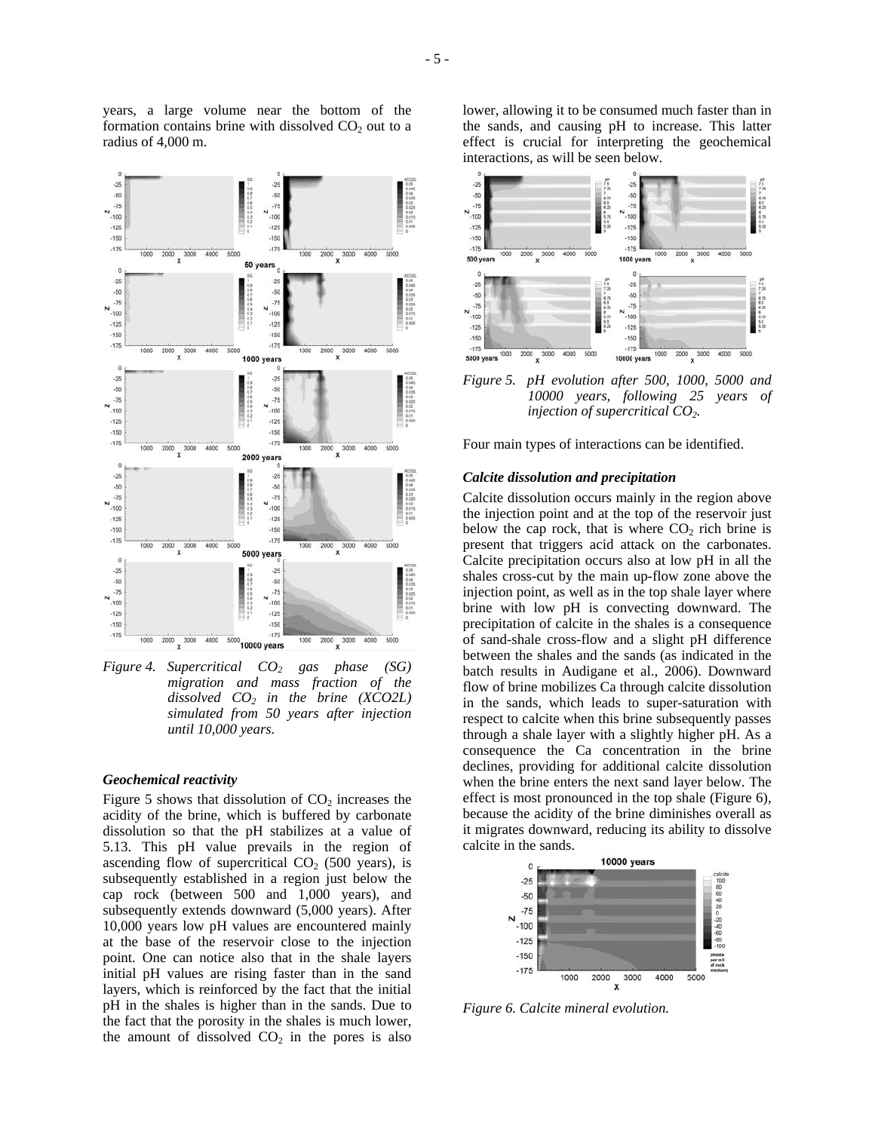

years, a large volume near the bottom of the formation contains brine with dissolved  $CO<sub>2</sub>$  out to a

radius of 4,000 m.

*Figure 4. Supercritical CO2 gas phase (SG) migration and mass fraction of the dissolved CO2 in the brine (XCO2L) simulated from 50 years after injection until 10,000 years.* 

### *Geochemical reactivity*

Figure 5 shows that dissolution of  $CO<sub>2</sub>$  increases the acidity of the brine, which is buffered by carbonate dissolution so that the pH stabilizes at a value of 5.13. This pH value prevails in the region of ascending flow of supercritical  $CO<sub>2</sub>$  (500 years), is subsequently established in a region just below the cap rock (between 500 and 1,000 years), and subsequently extends downward (5,000 years). After 10,000 years low pH values are encountered mainly at the base of the reservoir close to the injection point. One can notice also that in the shale layers initial pH values are rising faster than in the sand layers, which is reinforced by the fact that the initial pH in the shales is higher than in the sands. Due to the fact that the porosity in the shales is much lower, the amount of dissolved  $CO<sub>2</sub>$  in the pores is also lower, allowing it to be consumed much faster than in the sands, and causing pH to increase. This latter effect is crucial for interpreting the geochemical interactions, as will be seen below.



*Figure 5. pH evolution after 500, 1000, 5000 and 10000 years, following 25 years of injection of supercritical CO2.* 

Four main types of interactions can be identified.

### *Calcite dissolution and precipitation*

Calcite dissolution occurs mainly in the region above the injection point and at the top of the reservoir just below the cap rock, that is where  $CO<sub>2</sub>$  rich brine is present that triggers acid attack on the carbonates. Calcite precipitation occurs also at low pH in all the shales cross-cut by the main up-flow zone above the injection point, as well as in the top shale layer where brine with low pH is convecting downward. The precipitation of calcite in the shales is a consequence of sand-shale cross-flow and a slight pH difference between the shales and the sands (as indicated in the batch results in Audigane et al., 2006). Downward flow of brine mobilizes Ca through calcite dissolution in the sands, which leads to super-saturation with respect to calcite when this brine subsequently passes through a shale layer with a slightly higher pH. As a consequence the Ca concentration in the brine declines, providing for additional calcite dissolution when the brine enters the next sand layer below. The effect is most pronounced in the top shale (Figure 6), because the acidity of the brine diminishes overall as it migrates downward, reducing its ability to dissolve calcite in the sands.



*Figure 6. Calcite mineral evolution.*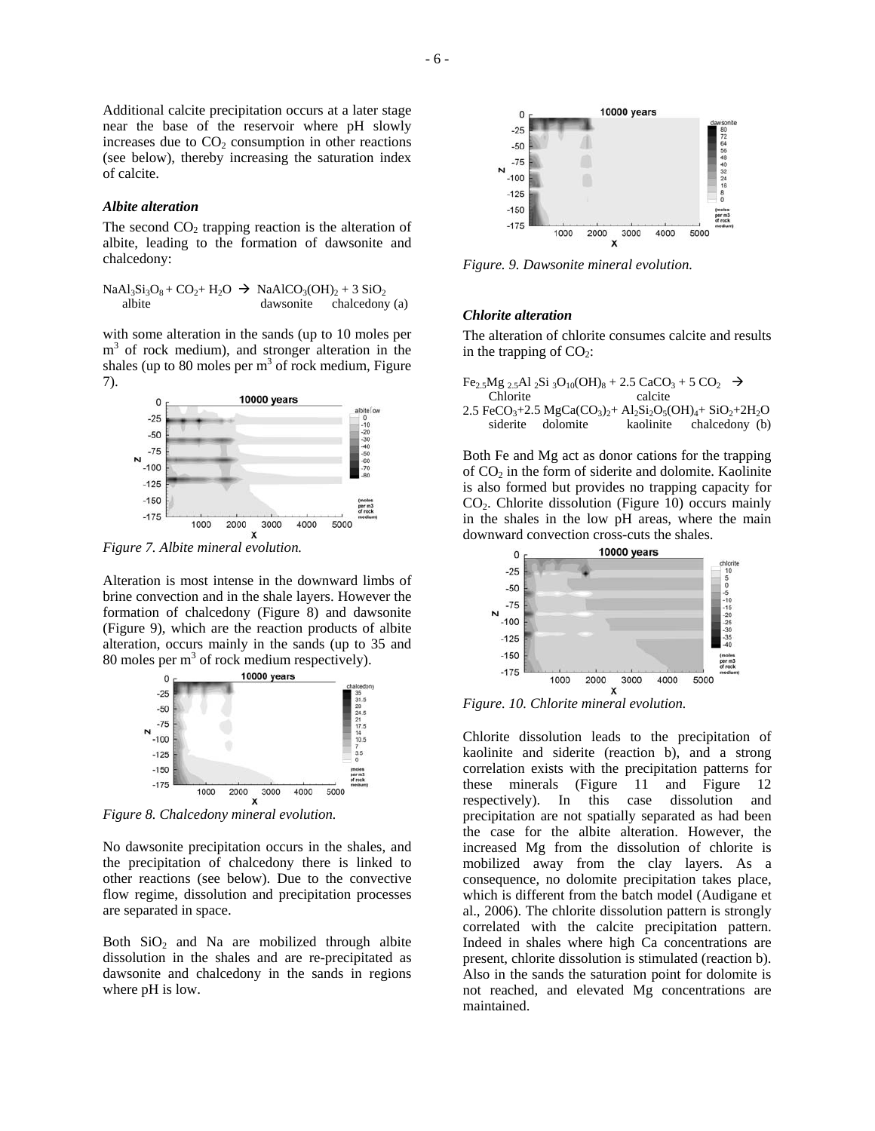Additional calcite precipitation occurs at a later stage near the base of the reservoir where pH slowly increases due to  $CO<sub>2</sub>$  consumption in other reactions (see below), thereby increasing the saturation index of calcite.

#### *Albite alteration*

The second  $CO<sub>2</sub>$  trapping reaction is the alteration of albite, leading to the formation of dawsonite and chalcedony:

 $NaAl<sub>3</sub>Si<sub>3</sub>O<sub>8</sub> + CO<sub>2</sub>+ H<sub>2</sub>O \rightarrow NaAlCO<sub>3</sub>(OH)<sub>2</sub> + 3 SiO<sub>2</sub>$ <br>albite dawsonite chalcedony chalcedony (a)

with some alteration in the sands (up to 10 moles per m<sup>3</sup> of rock medium), and stronger alteration in the shales (up to 80 moles per  $m<sup>3</sup>$  of rock medium, Figure 7).



*Figure 7. Albite mineral evolution.*

Alteration is most intense in the downward limbs of brine convection and in the shale layers. However the formation of chalcedony (Figure 8) and dawsonite (Figure 9), which are the reaction products of albite alteration, occurs mainly in the sands (up to 35 and 80 moles per  $m<sup>3</sup>$  of rock medium respectively).



*Figure 8. Chalcedony mineral evolution.*

No dawsonite precipitation occurs in the shales, and the precipitation of chalcedony there is linked to other reactions (see below). Due to the convective flow regime, dissolution and precipitation processes are separated in space.

Both  $SiO<sub>2</sub>$  and Na are mobilized through albite dissolution in the shales and are re-precipitated as dawsonite and chalcedony in the sands in regions where pH is low.



*Figure. 9. Dawsonite mineral evolution.* 

### *Chlorite alteration*

The alteration of chlorite consumes calcite and results in the trapping of  $CO<sub>2</sub>$ :

|          |                   | Fe <sub>2.5</sub> Mg <sub>2.5</sub> Al <sub>2</sub> Si <sub>3</sub> O <sub>10</sub> (OH) <sub>8</sub> + 2.5 CaCO <sub>3</sub> + 5 CO <sub>2</sub> $\rightarrow$ |                                                                                                                                                                         |  |
|----------|-------------------|-----------------------------------------------------------------------------------------------------------------------------------------------------------------|-------------------------------------------------------------------------------------------------------------------------------------------------------------------------|--|
| Chlorite |                   | calcite                                                                                                                                                         |                                                                                                                                                                         |  |
|          |                   |                                                                                                                                                                 | 2.5 FeCO <sub>3</sub> +2.5 MgCa(CO <sub>3</sub> ) <sub>2</sub> + Al <sub>2</sub> Si <sub>2</sub> O <sub>5</sub> (OH) <sub>4</sub> + SiO <sub>2</sub> +2H <sub>2</sub> O |  |
|          | siderite dolomite |                                                                                                                                                                 | kaolinite chalcedony (b)                                                                                                                                                |  |

Both Fe and Mg act as donor cations for the trapping of  $CO<sub>2</sub>$  in the form of siderite and dolomite. Kaolinite is also formed but provides no trapping capacity for CO2. Chlorite dissolution (Figure 10) occurs mainly in the shales in the low pH areas, where the main downward convection cross-cuts the shales.



*Figure. 10. Chlorite mineral evolution.*

Chlorite dissolution leads to the precipitation of kaolinite and siderite (reaction b), and a strong correlation exists with the precipitation patterns for these minerals (Figure 11 and Figure 12 respectively). In this case dissolution and precipitation are not spatially separated as had been the case for the albite alteration. However, the increased Mg from the dissolution of chlorite is mobilized away from the clay layers. As a consequence, no dolomite precipitation takes place, which is different from the batch model (Audigane et al., 2006). The chlorite dissolution pattern is strongly correlated with the calcite precipitation pattern. Indeed in shales where high Ca concentrations are present, chlorite dissolution is stimulated (reaction b). Also in the sands the saturation point for dolomite is not reached, and elevated Mg concentrations are maintained.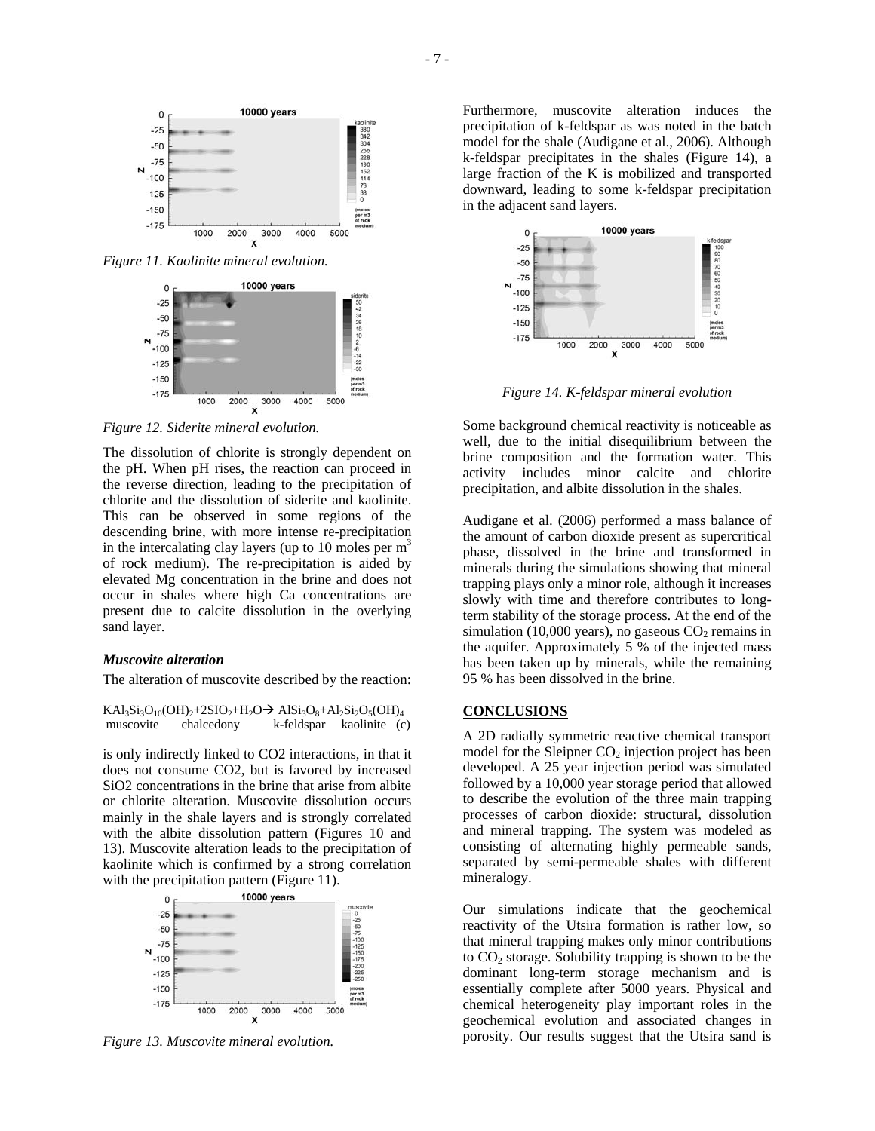

*Figure 11. Kaolinite mineral evolution.*



*Figure 12. Siderite mineral evolution.* 

The dissolution of chlorite is strongly dependent on the pH. When pH rises, the reaction can proceed in the reverse direction, leading to the precipitation of chlorite and the dissolution of siderite and kaolinite. This can be observed in some regions of the descending brine, with more intense re-precipitation in the intercalating clay layers (up to 10 moles per  $m<sup>3</sup>$ ) of rock medium). The re-precipitation is aided by elevated Mg concentration in the brine and does not occur in shales where high Ca concentrations are present due to calcite dissolution in the overlying sand layer.

### *Muscovite alteration*

The alteration of muscovite described by the reaction:

 $KAl_3Si_3O_{10}(OH)_2+2SiO_2+H_2O \rightarrow AlSi_3O_8+Al_2Si_2O_5(OH)_4$ <br>muscovite chalcedony k-feldspar kaolinite (c k-feldspar kaolinite (c)

is only indirectly linked to CO2 interactions, in that it does not consume CO2, but is favored by increased SiO2 concentrations in the brine that arise from albite or chlorite alteration. Muscovite dissolution occurs mainly in the shale layers and is strongly correlated with the albite dissolution pattern (Figures 10 and 13). Muscovite alteration leads to the precipitation of kaolinite which is confirmed by a strong correlation with the precipitation pattern (Figure 11).



*Figure 13. Muscovite mineral evolution.* 

Furthermore, muscovite alteration induces the precipitation of k-feldspar as was noted in the batch model for the shale (Audigane et al., 2006). Although k-feldspar precipitates in the shales (Figure 14), a large fraction of the K is mobilized and transported downward, leading to some k-feldspar precipitation in the adjacent sand layers.



*Figure 14. K-feldspar mineral evolution*

Some background chemical reactivity is noticeable as well, due to the initial disequilibrium between the brine composition and the formation water. This activity includes minor calcite and chlorite precipitation, and albite dissolution in the shales.

Audigane et al. (2006) performed a mass balance of the amount of carbon dioxide present as supercritical phase, dissolved in the brine and transformed in minerals during the simulations showing that mineral trapping plays only a minor role, although it increases slowly with time and therefore contributes to longterm stability of the storage process. At the end of the simulation (10,000 years), no gaseous  $CO<sub>2</sub>$  remains in the aquifer. Approximately  $5\%$  of the injected mass has been taken up by minerals, while the remaining 95 % has been dissolved in the brine.

### **CONCLUSIONS**

A 2D radially symmetric reactive chemical transport model for the Sleipner  $CO<sub>2</sub>$  injection project has been developed. A 25 year injection period was simulated followed by a 10,000 year storage period that allowed to describe the evolution of the three main trapping processes of carbon dioxide: structural, dissolution and mineral trapping. The system was modeled as consisting of alternating highly permeable sands, separated by semi-permeable shales with different mineralogy.

Our simulations indicate that the geochemical reactivity of the Utsira formation is rather low, so that mineral trapping makes only minor contributions to  $CO<sub>2</sub>$  storage. Solubility trapping is shown to be the dominant long-term storage mechanism and is essentially complete after 5000 years. Physical and chemical heterogeneity play important roles in the geochemical evolution and associated changes in porosity. Our results suggest that the Utsira sand is